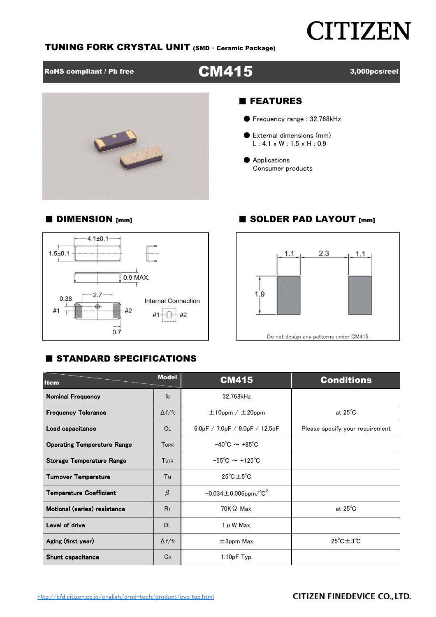# **CITIZEN**

## TUNING FORK CRYSTAL UNIT (SMD ・ Ceramic Package)

RoHS compliant / Pb free **CM415** 3,000pcs/reel

■ DIMENSION [mm] ■ SOLDER PAD LAYOUT [mm]



## ■ FEATURES

- Frequency range : 32.768kHz
- External dimensions (mm) L : 4.1 x W : 1.5 x H : 0.9
- Applications Consumer products

#### $4.1 \pm 0.1$  $1.5 \pm 0.1$  $\ddot{\phantom{1}}$  $0.9$  MAX. 2.7 0.38 Internal Connection ė  $#1$  $#2$  $#1$ ł∏⊦  $#2$  $0.7$

# $2.3$  $1.1$  $1.1$  $1.9$

### Do not design any patterns under CM415.

# **E STANDARD SPECIFICATIONS**

| <b>Item</b>                        | <b>Model</b>            | <b>CM415</b>                                        | <b>Conditions</b>                   |  |  |  |
|------------------------------------|-------------------------|-----------------------------------------------------|-------------------------------------|--|--|--|
| <b>Nominal Frequency</b>           | f <sub>0</sub>          | 32.768kHz                                           |                                     |  |  |  |
| <b>Frequency Tolerance</b>         | $\Delta f/f_0$          | $\pm 10$ ppm / $\pm 20$ ppm                         | at $25^{\circ}$ C                   |  |  |  |
| Load capacitance                   | C <sub>L</sub>          | 6.0pF / 7.0pF / 9.0pF / 12.5pF                      | Please specify your requirement     |  |  |  |
| <b>Operating Temperature Range</b> | <b>TOPR</b>             | $-40^{\circ}$ C $\sim +85^{\circ}$ C                |                                     |  |  |  |
| <b>Storage Temperature Range</b>   | <b>T</b> <sub>STR</sub> | $-55^{\circ}$ C $\sim$ +125 $^{\circ}$ C            |                                     |  |  |  |
| <b>Turnover Temperature</b>        | Тм                      | $25^{\circ}$ C $\pm 5^{\circ}$ C                    |                                     |  |  |  |
| <b>Temperature Coefficient</b>     | β                       | $-0.034 \pm 0.006$ ppm $\textdegree$ C <sup>2</sup> |                                     |  |  |  |
| Motional (series) resistance       | R <sub>1</sub>          | 70KΩ Max.                                           | at $25^{\circ}$ C                   |  |  |  |
| Level of drive                     | <b>DL</b>               | $1 \mu$ W Max.                                      |                                     |  |  |  |
| Aging (first year)                 | $\Delta f/f_0$          | $\pm 3$ ppm Max.                                    | $25^{\circ}$ C $\pm$ 3 $^{\circ}$ C |  |  |  |
| Shunt capacitance                  | Co                      | $1.10pF$ Typ.                                       |                                     |  |  |  |